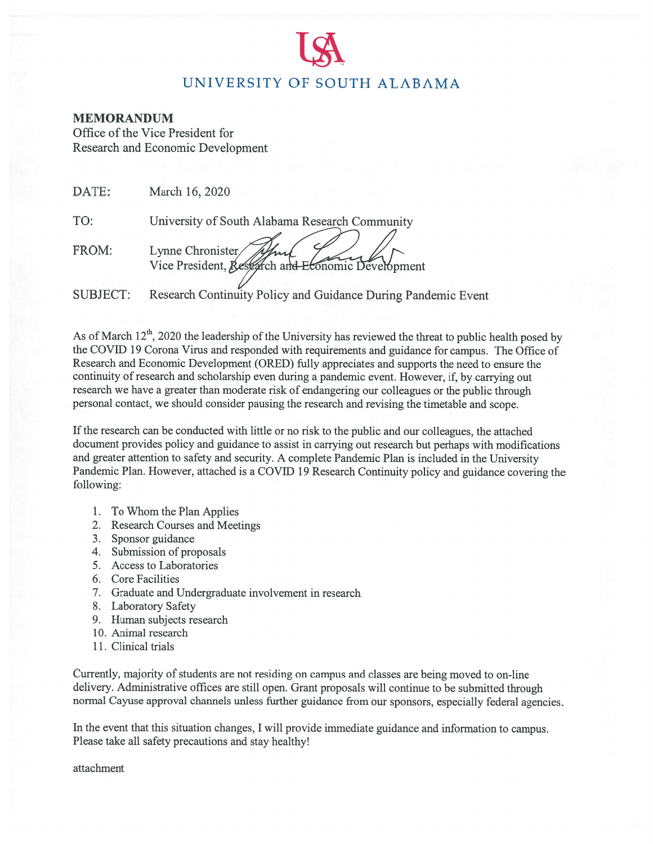# UNIVERSITY OF SOUTH ALABAMA

#### **MEMORANDUM**

Office of the Vice President for **Research and Economic Development** 

| DATE:           | March 16, 2020                                                         |
|-----------------|------------------------------------------------------------------------|
| TO:             | University of South Alabama Research Community                         |
| FROM:           | Lynne Chronister/<br>Vice President, Research and Economic Development |
| <b>SUBJECT:</b> | Research Continuity Policy and Guidance During Pandemic Event          |

As of March  $12^{\text{th}}$ , 2020 the leadership of the University has reviewed the threat to public health posed by the COVID 19 Corona Virus and responded with requirements and guidance for campus. The Office of Research and Economic Development (ORED) fully appreciates and supports the need to ensure the continuity of research and scholarship even during a pandemic event. However, if, by carrying out research we have a greater than moderate risk of endangering our colleagues or the public through personal contact, we should consider pausing the research and revising the timetable and scope.

If the research can be conducted with little or no risk to the public and our colleagues, the attached document provides policy and guidance to assist in carrying out research but perhaps with modifications and greater attention to safety and security. A complete Pandemic Plan is included in the University Pandemic Plan. However, attached is a COVID 19 Research Continuity policy and guidance covering the following:

- 1. To Whom the Plan Applies
- 2. Research Courses and Meetings
- 3. Sponsor guidance
- 4. Submission of proposals
- 5. Access to Laboratories
- 6. Core Facilities
- 7. Graduate and Undergraduate involvement in research
- 8. Laboratory Safety
- 9. Human subjects research
- 10. Animal research
- 11. Clinical trials

Currently, majority of students are not residing on campus and classes are being moved to on-line delivery. Administrative offices are still open. Grant proposals will continue to be submitted through normal Cayuse approval channels unless further guidance from our sponsors, especially federal agencies.

In the event that this situation changes, I will provide immediate guidance and information to campus. Please take all safety precautions and stay healthy!

attachment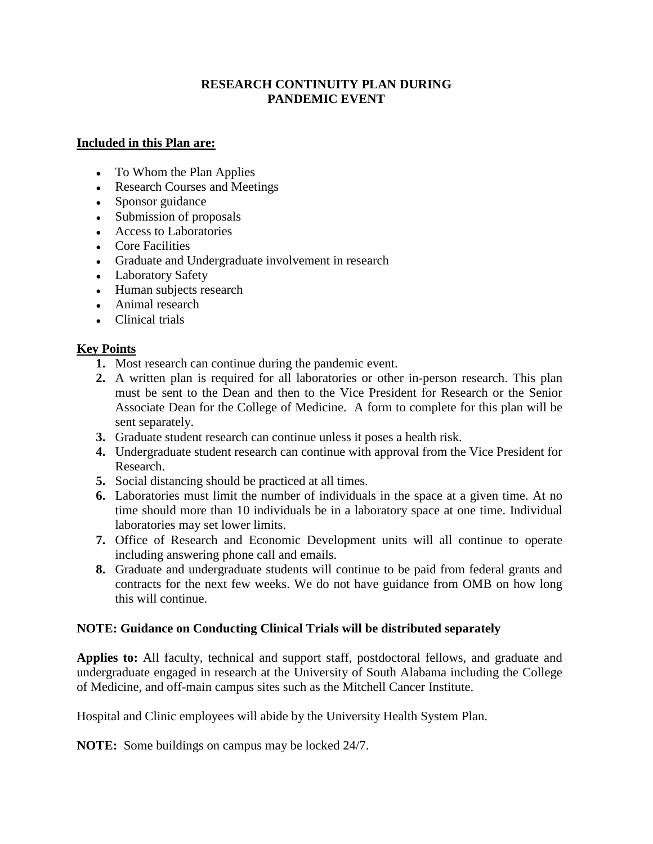#### **RESEARCH CONTINUITY PLAN DURING PANDEMIC EVENT**

#### **Included in this Plan are:**

- To Whom the Plan Applies
- Research Courses and Meetings
- Sponsor guidance
- Submission of proposals
- Access to Laboratories
- Core Facilities
- Graduate and Undergraduate involvement in research
- Laboratory Safety
- Human subjects research
- Animal research
- Clinical trials

# **Key Points**

- **1.** Most research can continue during the pandemic event.
- **2.** A written plan is required for all laboratories or other in-person research. This plan must be sent to the Dean and then to the Vice President for Research or the Senior Associate Dean for the College of Medicine. A form to complete for this plan will be sent separately.
- **3.** Graduate student research can continue unless it poses a health risk.
- **4.** Undergraduate student research can continue with approval from the Vice President for Research.
- **5.** Social distancing should be practiced at all times.
- **6.** Laboratories must limit the number of individuals in the space at a given time. At no time should more than 10 individuals be in a laboratory space at one time. Individual laboratories may set lower limits.
- **7.** Office of Research and Economic Development units will all continue to operate including answering phone call and emails.
- **8.** Graduate and undergraduate students will continue to be paid from federal grants and contracts for the next few weeks. We do not have guidance from OMB on how long this will continue.

#### **NOTE: Guidance on Conducting Clinical Trials will be distributed separately**

 of Medicine, and off-main campus sites such as the Mitchell Cancer Institute. **Applies to:** All faculty, technical and support staff, postdoctoral fellows, and graduate and undergraduate engaged in research at the University of South Alabama including the College

Hospital and Clinic employees will abide by the University Health System Plan.

**NOTE:** Some buildings on campus may be locked 24/7.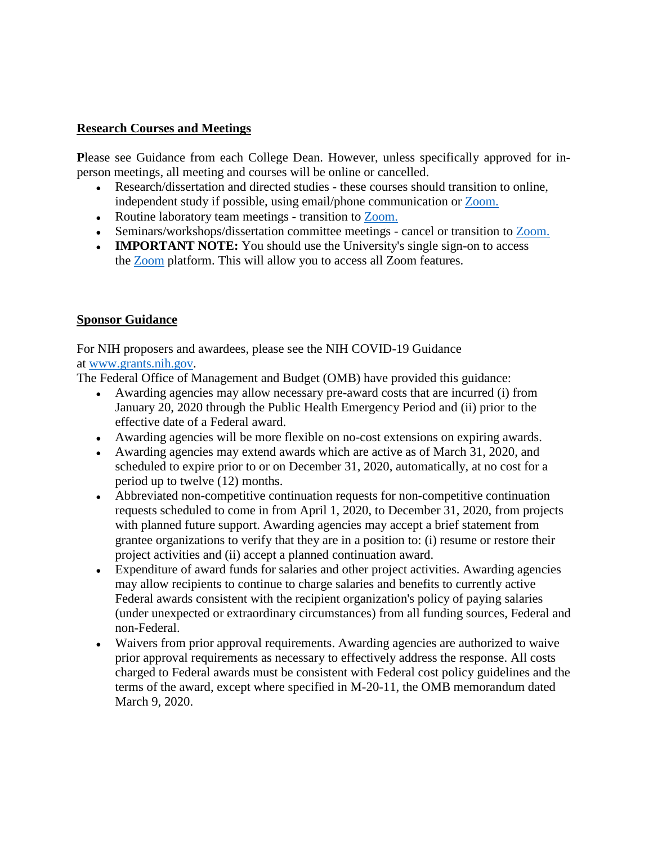#### **Research Courses and Meetings**

**P**lease see Guidance from each College Dean. However, unless specifically approved for inperson meetings, all meeting and courses will be online or cancelled.

- Research/dissertation and directed studies these courses should transition to online, independent study if possible, using email/phone communication or Zoom.
- Routine laboratory team meetings transition to Zoom.
- Seminars/workshops/dissertation committee meetings cancel or transition to Zoom.
- **IMPORTANT NOTE:** You should use the University's single sign-on to access the Zoom platform. This will allow you to access all Zoom features.

#### **Sponsor Guidance**

For NIH proposers and awardees, please see the NIH COVID-19 Guidance at [www.grants.nih.gov.](http://www.grants.nih.gov/)

The Federal Office of Management and Budget (OMB) have provided this guidance:

- ● Awarding agencies may allow necessary pre-award costs that are incurred (i) from January 20, 2020 through the Public Health Emergency Period and (ii) prior to the effective date of a Federal award.
- Awarding agencies will be more flexible on no-cost extensions on expiring awards.
- period up to twelve (12) months. • Awarding agencies may extend awards which are active as of March 31, 2020, and scheduled to expire prior to or on December 31, 2020, automatically, at no cost for a
- with planned future support. Awarding agencies may accept a brief statement from • Abbreviated non-competitive continuation requests for non-competitive continuation requests scheduled to come in from April 1, 2020, to December 31, 2020, from projects grantee organizations to verify that they are in a position to: (i) resume or restore their project activities and (ii) accept a planned continuation award.
- non-Federal. • Expenditure of award funds for salaries and other project activities. Awarding agencies may allow recipients to continue to charge salaries and benefits to currently active Federal awards consistent with the recipient organization's policy of paying salaries (under unexpected or extraordinary circumstances) from all funding sources, Federal and
- prior approval requirements as necessary to effectively address the response. All costs charged to Federal awards must be consistent with Federal cost policy guidelines and the • Waivers from prior approval requirements. Awarding agencies are authorized to waive terms of the award, except where specified in M-20-11, the OMB memorandum dated March 9, 2020.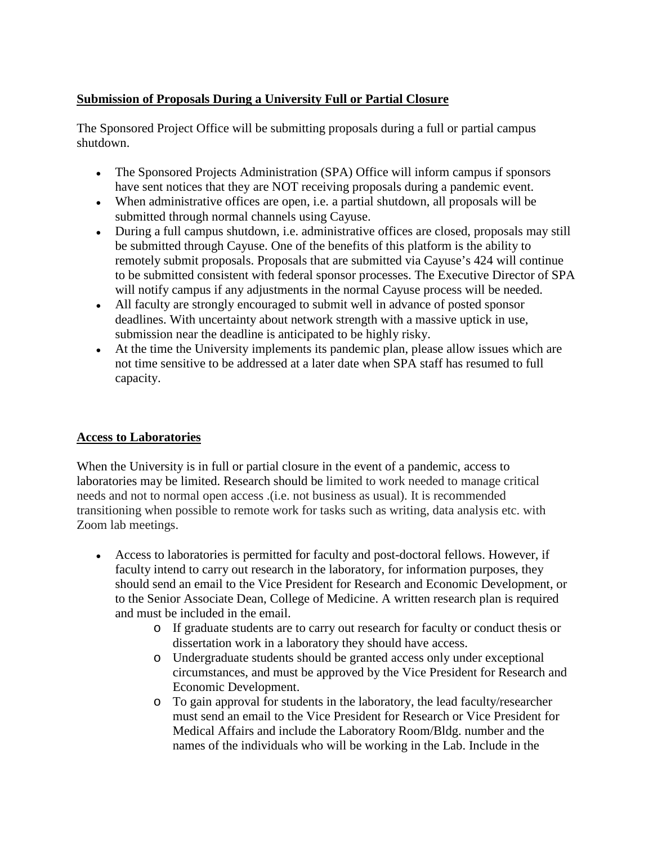# **Submission of Proposals During a University Full or Partial Closure**

 The Sponsored Project Office will be submitting proposals during a full or partial campus shutdown.

- The Sponsored Projects Administration (SPA) Office will inform campus if sponsors have sent notices that they are NOT receiving proposals during a pandemic event.
- When administrative offices are open, i.e. a partial shutdown, all proposals will be submitted through normal channels using Cayuse.
- During a full campus shutdown, i.e. administrative offices are closed, proposals may still be submitted through Cayuse. One of the benefits of this platform is the ability to remotely submit proposals. Proposals that are submitted via Cayuse's 424 will continue to be submitted consistent with federal sponsor processes. The Executive Director of SPA will notify campus if any adjustments in the normal Cayuse process will be needed.
- All faculty are strongly encouraged to submit well in advance of posted sponsor deadlines. With uncertainty about network strength with a massive uptick in use, submission near the deadline is anticipated to be highly risky.
- At the time the University implements its pandemic plan, please allow issues which are not time sensitive to be addressed at a later date when SPA staff has resumed to full capacity.

#### **Access to Laboratories**

 transitioning when possible to remote work for tasks such as writing, data analysis etc. with When the University is in full or partial closure in the event of a pandemic, access to laboratories may be limited. Research should be limited to work needed to manage critical needs and not to normal open access .(i.e. not business as usual). It is recommended Zoom lab meetings.

- Access to laboratories is permitted for faculty and post-doctoral fellows. However, if faculty intend to carry out research in the laboratory, for information purposes, they should send an email to the Vice President for Research and Economic Development, or to the Senior Associate Dean, College of Medicine. A written research plan is required and must be included in the email.
	- o If graduate students are to carry out research for faculty or conduct thesis or dissertation work in a laboratory they should have access.
	- o Undergraduate students should be granted access only under exceptional circumstances, and must be approved by the Vice President for Research and Economic Development.
	- o To gain approval for students in the laboratory, the lead faculty/researcher must send an email to the Vice President for Research or Vice President for Medical Affairs and include the Laboratory Room/Bldg. number and the names of the individuals who will be working in the Lab. Include in the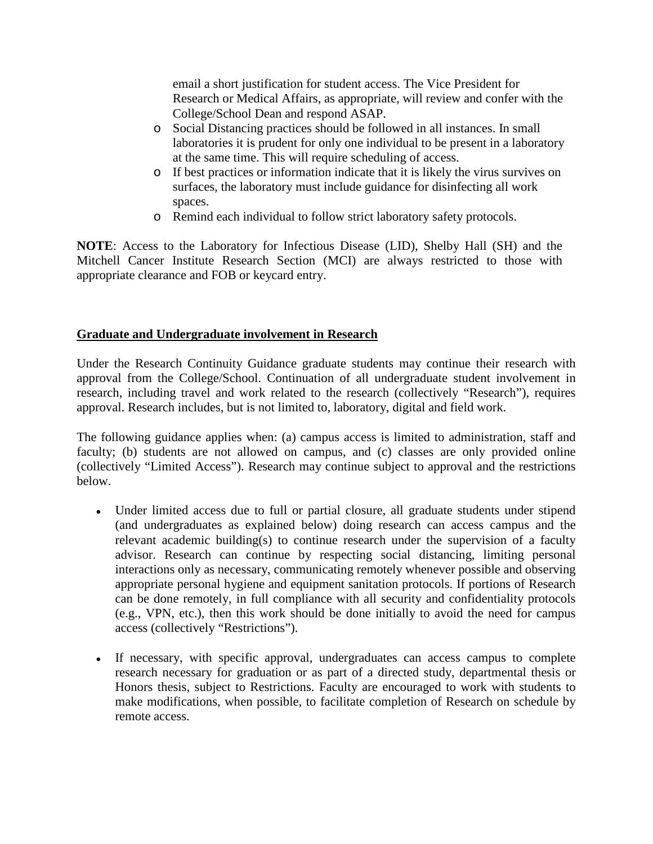email a short justification for student access. The Vice President for Research or Medical Affairs, as appropriate, will review and confer with the College/School Dean and respond ASAP.

- laboratories it is prudent for only one individual to be present in a laboratory o Social Distancing practices should be followed in all instances. In small at the same time. This will require scheduling of access.
- o If best practices or information indicate that it is likely the virus survives on surfaces, the laboratory must include guidance for disinfecting all work spaces.
- o Remind each individual to follow strict laboratory safety protocols.

 **NOTE**: Access to the Laboratory for Infectious Disease (LID), Shelby Hall (SH) and the Mitchell Cancer Institute Research Section (MCI) are always restricted to those with appropriate clearance and FOB or keycard entry.

#### **Graduate and Undergraduate involvement in Research**

Under the Research Continuity Guidance graduate students may continue their research with approval from the College/School. Continuation of all undergraduate student involvement in research, including travel and work related to the research (collectively "Research"), requires approval. Research includes, but is not limited to, laboratory, digital and field work.

 The following guidance applies when: (a) campus access is limited to administration, staff and faculty; (b) students are not allowed on campus, and (c) classes are only provided online (collectively "Limited Access"). Research may continue subject to approval and the restrictions below.

- Under limited access due to full or partial closure, all graduate students under stipend (and undergraduates as explained below) doing research can access campus and the relevant academic building(s) to continue research under the supervision of a faculty advisor. Research can continue by respecting social distancing, limiting personal interactions only as necessary, communicating remotely whenever possible and observing appropriate personal hygiene and equipment sanitation protocols. If portions of Research can be done remotely, in full compliance with all security and confidentiality protocols (e.g., VPN, etc.), then this work should be done initially to avoid the need for campus access (collectively "Restrictions").
- If necessary, with specific approval, undergraduates can access campus to complete research necessary for graduation or as part of a directed study, departmental thesis or Honors thesis, subject to Restrictions. Faculty are encouraged to work with students to make modifications, when possible, to facilitate completion of Research on schedule by remote access.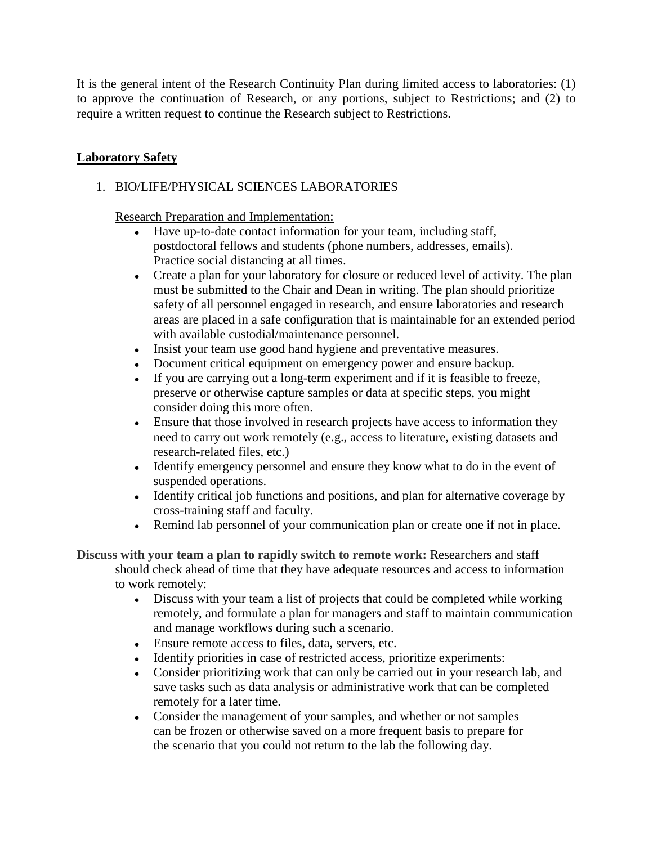to approve the continuation of Research, or any portions, subject to Restrictions; and (2) to It is the general intent of the Research Continuity Plan during limited access to laboratories: (1) require a written request to continue the Research subject to Restrictions.

# **Laboratory Safety**

### 1. BIO/LIFE/PHYSICAL SCIENCES LABORATORIES

Research Preparation and Implementation:

- Have up-to-date contact information for your team, including staff, postdoctoral fellows and students (phone numbers, addresses, emails). Practice social distancing at all times.
- Create a plan for your laboratory for closure or reduced level of activity. The plan must be submitted to the Chair and Dean in writing. The plan should prioritize safety of all personnel engaged in research, and ensure laboratories and research areas are placed in a safe configuration that is maintainable for an extended period with available custodial/maintenance personnel.
- Insist your team use good hand hygiene and preventative measures.
- Document critical equipment on emergency power and ensure backup.
- preserve or otherwise capture samples or data at specific steps, you might  $\bullet$  If you are carrying out a long-term experiment and if it is feasible to freeze, consider doing this more often.
- Ensure that those involved in research projects have access to information they need to carry out work remotely (e.g., access to literature, existing datasets and research-related files, etc.)
- Identify emergency personnel and ensure they know what to do in the event of suspended operations.
- Identify critical job functions and positions, and plan for alternative coverage by cross-training staff and faculty.
- Remind lab personnel of your communication plan or create one if not in place.

**Discuss with your team a plan to rapidly switch to remote work:** Researchers and staff should check ahead of time that they have adequate resources and access to information to work remotely:

- Discuss with your team a list of projects that could be completed while working remotely, and formulate a plan for managers and staff to maintain communication and manage workflows during such a scenario.
- Ensure remote access to files, data, servers, etc.
- Identify priorities in case of restricted access, prioritize experiments:
- remotely for a later time. • Consider prioritizing work that can only be carried out in your research lab, and save tasks such as data analysis or administrative work that can be completed
- can be frozen or otherwise saved on a more frequent basis to prepare for • Consider the management of your samples, and whether or not samples the scenario that you could not return to the lab the following day.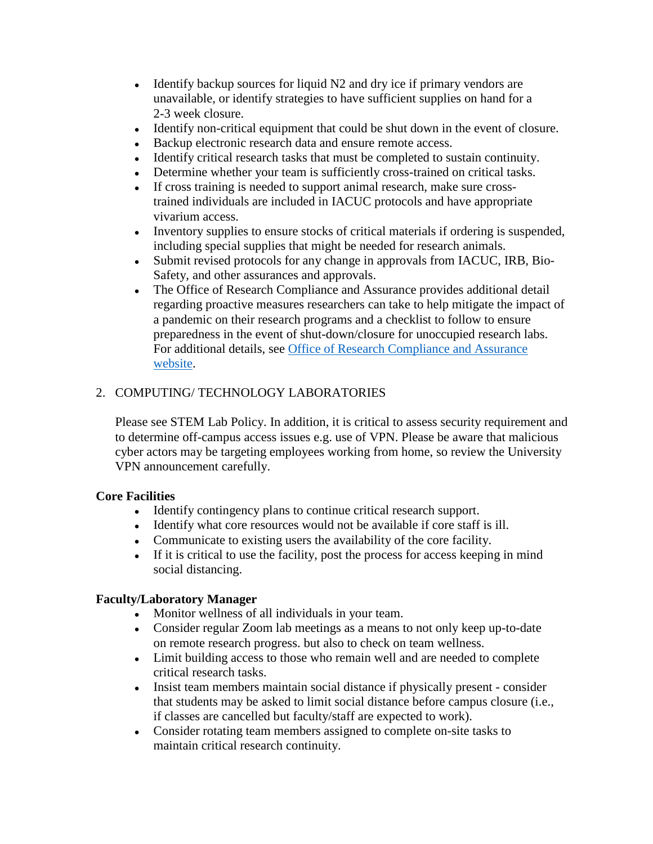- Identify backup sources for liquid  $N2$  and dry ice if primary vendors are unavailable, or identify strategies to have sufficient supplies on hand for a 2-3 week closure.
- Identify non-critical equipment that could be shut down in the event of closure.
- Backup electronic research data and ensure remote access.
- Identify critical research tasks that must be completed to sustain continuity.
- Determine whether your team is sufficiently cross-trained on critical tasks.
- If cross training is needed to support animal research, make sure crosstrained individuals are included in IACUC protocols and have appropriate vivarium access.
- Inventory supplies to ensure stocks of critical materials if ordering is suspended, including special supplies that might be needed for research animals.
- Safety, and other assurances and approvals. • Submit revised protocols for any change in approvals from IACUC, IRB, Bio-
- The Office of Research Compliance and Assurance provides additional detail regarding proactive measures researchers can take to help mitigate the impact of a pandemic on their research programs and a checklist to follow to ensure preparedness in the event of shut-down/closure for unoccupied research labs. For additional details, see [Office of Research Compliance and Assurance](https://www.southalabama.edu/departments/research/compliance/)  [website.](https://www.southalabama.edu/departments/research/compliance/)

# 2. COMPUTING/ TECHNOLOGY LABORATORIES

 Please see STEM Lab Policy. In addition, it is critical to assess security requirement and VPN announcement carefully. to determine off-campus access issues e.g. use of VPN. Please be aware that malicious cyber actors may be targeting employees working from home, so review the University

#### **Core Facilities**

- Identify contingency plans to continue critical research support.
- Identify what core resources would not be available if core staff is ill.
- Communicate to existing users the availability of the core facility.
- If it is critical to use the facility, post the process for access keeping in mind social distancing.

#### **Faculty/Laboratory Manager**

- Monitor wellness of all individuals in your team.
- Consider regular Zoom lab meetings as a means to not only keep up-to-date on remote research progress. but also to check on team wellness.
- Limit building access to those who remain well and are needed to complete critical research tasks.
- Insist team members maintain social distance if physically present consider that students may be asked to limit social distance before campus closure (i.e., if classes are cancelled but faculty/staff are expected to work).
- Consider rotating team members assigned to complete on-site tasks to maintain critical research continuity.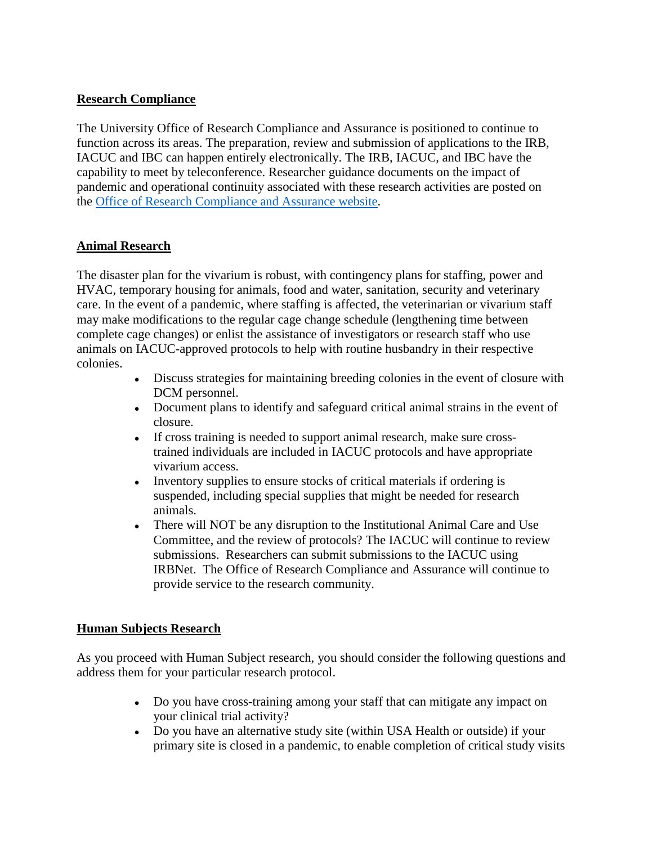### **Research Compliance**

 IACUC and IBC can happen entirely electronically. The IRB, IACUC, and IBC have the The University Office of Research Compliance and Assurance is positioned to continue to function across its areas. The preparation, review and submission of applications to the IRB, capability to meet by teleconference. Researcher guidance documents on the impact of pandemic and operational continuity associated with these research activities are posted on the [Office of Research Compliance and Assurance website.](https://www.southalabama.edu/departments/research/compliance/)

#### **Animal Research**

The disaster plan for the vivarium is robust, with contingency plans for staffing, power and HVAC, temporary housing for animals, food and water, sanitation, security and veterinary care. In the event of a pandemic, where staffing is affected, the veterinarian or vivarium staff may make modifications to the regular cage change schedule (lengthening time between complete cage changes) or enlist the assistance of investigators or research staff who use animals on IACUC-approved protocols to help with routine husbandry in their respective colonies.

- ● Discuss strategies for maintaining breeding colonies in the event of closure with DCM personnel.
- Document plans to identify and safeguard critical animal strains in the event of closure.
- If cross training is needed to support animal research, make sure crosstrained individuals are included in IACUC protocols and have appropriate vivarium access.
- Inventory supplies to ensure stocks of critical materials if ordering is suspended, including special supplies that might be needed for research animals.
- There will NOT be any disruption to the Institutional Animal Care and Use Committee, and the review of protocols? The IACUC will continue to review submissions. Researchers can submit submissions to the IACUC using IRBNet. The Office of Research Compliance and Assurance will continue to provide service to the research community.

#### **Human Subjects Research**

As you proceed with Human Subject research, you should consider the following questions and address them for your particular research protocol.

- Do you have cross-training among your staff that can mitigate any impact on your clinical trial activity?
- Do you have an alternative study site (within USA Health or outside) if your primary site is closed in a pandemic, to enable completion of critical study visits